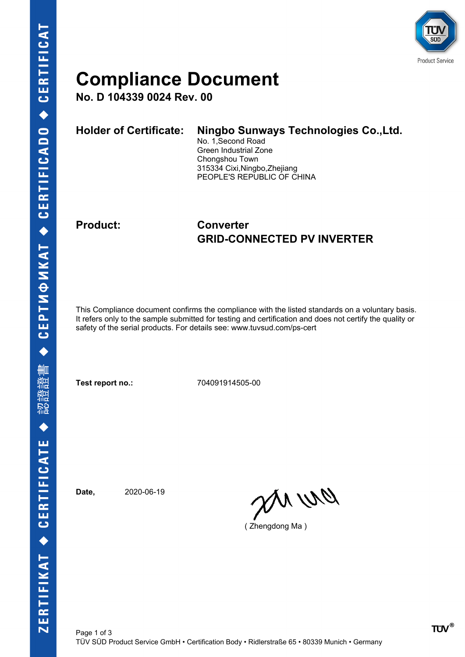

## **Compliance Document**

**No. D 104339 0024 Rev. 00**

| <b>Holder of Certificate:</b> | Ningbo Sunways Technologies Co., Ltd.<br>No. 1, Second Road<br>Green Industrial Zone<br>Chongshou Town<br>315334 Cixi, Ningbo, Zhejiang |
|-------------------------------|-----------------------------------------------------------------------------------------------------------------------------------------|
|                               | PEOPLE'S REPUBLIC OF CHINA                                                                                                              |
|                               |                                                                                                                                         |

### **Product: Converter GRID-CONNECTED PV INVERTER**

This Compliance document confirms the compliance with the listed standards on a voluntary basis. It refers only to the sample submitted for testing and certification and does not certify the quality or safety of the serial products. For details see: www.tuvsud.com/ps-cert

**Test report no.:** 704091914505-00

**Date,** 2020-06-19

DN WQ

( Zhengdong Ma )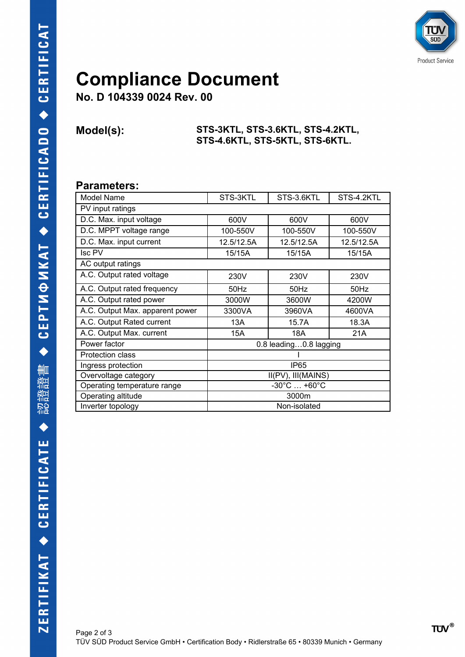

## **Compliance Document**

**No. D 104339 0024 Rev. 00**

#### **Model(s): STS-3KTL, STS-3.6KTL, STS-4.2KTL, STS-4.6KTL, STS-5KTL, STS-6KTL.**

### **Parameters:**

| Model Name                      | STS-3KTL                         | STS-3.6KTL | STS-4.2KTL |  |  |
|---------------------------------|----------------------------------|------------|------------|--|--|
| PV input ratings                |                                  |            |            |  |  |
| D.C. Max. input voltage         | 600V                             | 600V       | 600V       |  |  |
| D.C. MPPT voltage range         | 100-550V                         | 100-550V   | 100-550V   |  |  |
| D.C. Max. input current         | 12.5/12.5A                       | 12.5/12.5A | 12.5/12.5A |  |  |
| <b>Isc PV</b>                   | 15/15A                           | 15/15A     | 15/15A     |  |  |
| AC output ratings               |                                  |            |            |  |  |
| A.C. Output rated voltage       | 230V                             | 230V       | 230V       |  |  |
| A.C. Output rated frequency     | 50Hz                             | 50Hz       | 50Hz       |  |  |
| A.C. Output rated power         | 3000W                            | 3600W      | 4200W      |  |  |
| A.C. Output Max. apparent power | 3300VA                           | 3960VA     | 4600VA     |  |  |
| A.C. Output Rated current       | 13A                              | 15.7A      | 18.3A      |  |  |
| A.C. Output Max. current        | 15A                              | 18A        | 21A        |  |  |
| Power factor                    | 0.8 leading0.8 lagging           |            |            |  |  |
| <b>Protection class</b>         |                                  |            |            |  |  |
| Ingress protection              | IP <sub>65</sub>                 |            |            |  |  |
| Overvoltage category            | II(PV), III(MAINS)               |            |            |  |  |
| Operating temperature range     | $-30^{\circ}$ C $ +60^{\circ}$ C |            |            |  |  |
| Operating altitude              | 3000m                            |            |            |  |  |
| Inverter topology               | Non-isolated                     |            |            |  |  |